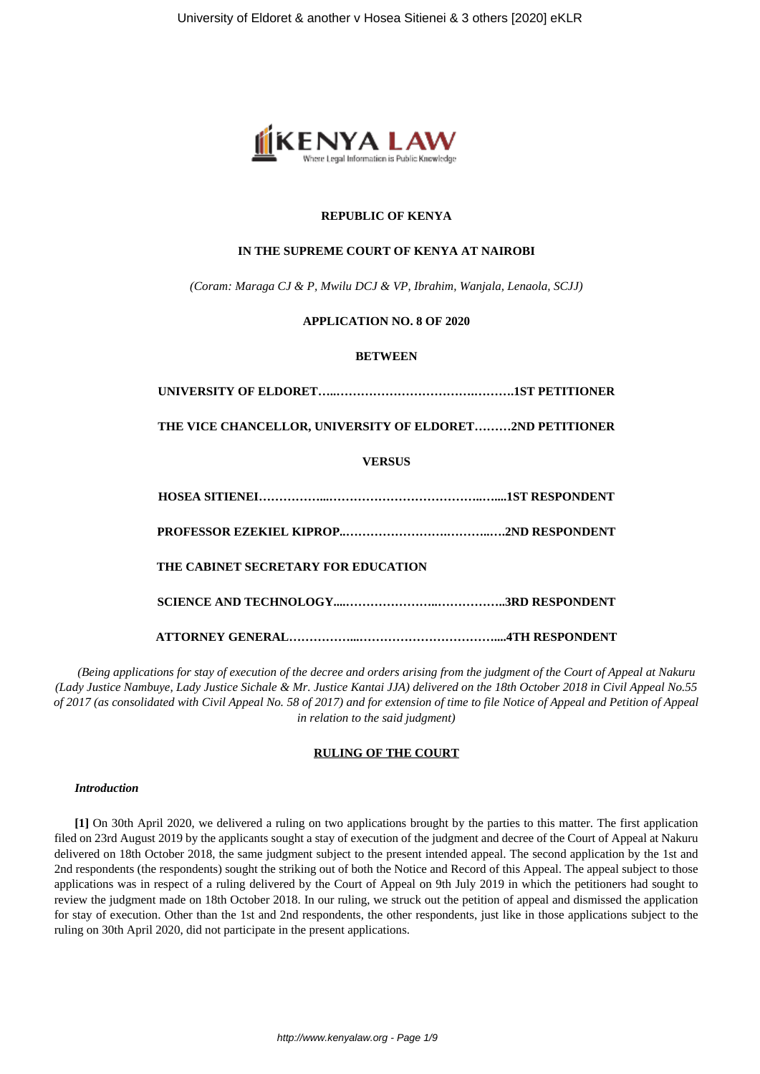

#### **REPUBLIC OF KENYA**

### **IN THE SUPREME COURT OF KENYA AT NAIROBI**

*(Coram: Maraga CJ & P, Mwilu DCJ & VP, Ibrahim, Wanjala, Lenaola, SCJJ)*

#### **APPLICATION NO. 8 OF 2020**

### **BETWEEN**

**UNIVERSITY OF ELDORET…..…………………………….……….1ST PETITIONER**

**THE VICE CHANCELLOR, UNIVERSITY OF ELDORET………2ND PETITIONER**

#### **VERSUS**

| THE CABINET SECRETARY FOR EDUCATION |
|-------------------------------------|
|                                     |
|                                     |

*(Being applications for stay of execution of the decree and orders arising from the judgment of the Court of Appeal at Nakuru (Lady Justice Nambuye, Lady Justice Sichale & Mr. Justice Kantai JJA) delivered on the 18th October 2018 in Civil Appeal No.55 of 2017 (as consolidated with Civil Appeal No. 58 of 2017) and for extension of time to file Notice of Appeal and Petition of Appeal in relation to the said judgment)*

#### **RULING OF THE COURT**

#### *Introduction*

**[1]** On 30th April 2020, we delivered a ruling on two applications brought by the parties to this matter. The first application filed on 23rd August 2019 by the applicants sought a stay of execution of the judgment and decree of the Court of Appeal at Nakuru delivered on 18th October 2018, the same judgment subject to the present intended appeal. The second application by the 1st and 2nd respondents (the respondents) sought the striking out of both the Notice and Record of this Appeal. The appeal subject to those applications was in respect of a ruling delivered by the Court of Appeal on 9th July 2019 in which the petitioners had sought to review the judgment made on 18th October 2018. In our ruling, we struck out the petition of appeal and dismissed the application for stay of execution. Other than the 1st and 2nd respondents, the other respondents, just like in those applications subject to the ruling on 30th April 2020, did not participate in the present applications.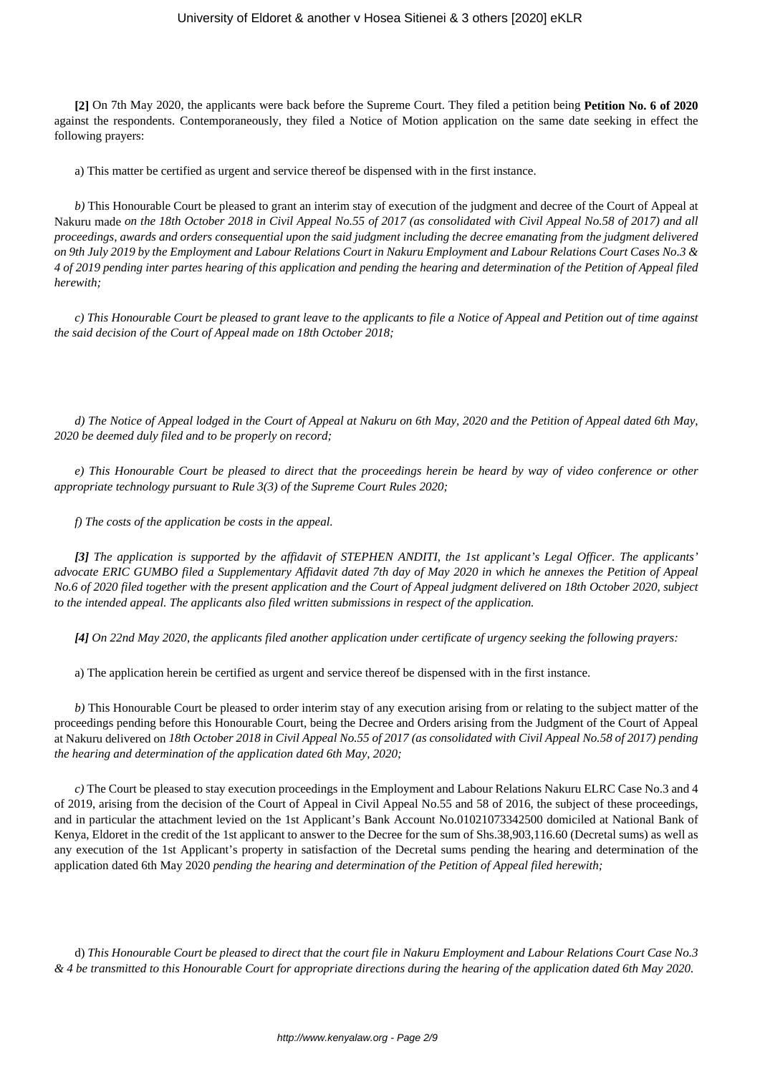**[2]** On 7th May 2020, the applicants were back before the Supreme Court. They filed a petition being **Petition No. 6 of 2020** against the respondents. Contemporaneously, they filed a Notice of Motion application on the same date seeking in effect the following prayers:

a) This matter be certified as urgent and service thereof be dispensed with in the first instance.

*b)* This Honourable Court be pleased to grant an interim stay of execution of the judgment and decree of the Court of Appeal at Nakuru made *on the 18th October 2018 in Civil Appeal No.55 of 2017 (as consolidated with Civil Appeal No.58 of 2017) and all proceedings, awards and orders consequential upon the said judgment including the decree emanating from the judgment delivered on 9th July 2019 by the Employment and Labour Relations Court in Nakuru Employment and Labour Relations Court Cases No.3 & 4 of 2019 pending inter partes hearing of this application and pending the hearing and determination of the Petition of Appeal filed herewith;*

*c) This Honourable Court be pleased to grant leave to the applicants to file a Notice of Appeal and Petition out of time against the said decision of the Court of Appeal made on 18th October 2018;*

*d) The Notice of Appeal lodged in the Court of Appeal at Nakuru on 6th May, 2020 and the Petition of Appeal dated 6th May, 2020 be deemed duly filed and to be properly on record;*

*e) This Honourable Court be pleased to direct that the proceedings herein be heard by way of video conference or other appropriate technology pursuant to Rule 3(3) of the Supreme Court Rules 2020;*

*f) The costs of the application be costs in the appeal.*

*[3] The application is supported by the affidavit of STEPHEN ANDITI, the 1st applicant's Legal Officer. The applicants' advocate ERIC GUMBO filed a Supplementary Affidavit dated 7th day of May 2020 in which he annexes the Petition of Appeal No.6 of 2020 filed together with the present application and the Court of Appeal judgment delivered on 18th October 2020, subject to the intended appeal. The applicants also filed written submissions in respect of the application.*

*[4] On 22nd May 2020, the applicants filed another application under certificate of urgency seeking the following prayers:*

a) The application herein be certified as urgent and service thereof be dispensed with in the first instance.

*b)* This Honourable Court be pleased to order interim stay of any execution arising from or relating to the subject matter of the proceedings pending before this Honourable Court, being the Decree and Orders arising from the Judgment of the Court of Appeal at Nakuru delivered on *18th October 2018 in Civil Appeal No.55 of 2017 (as consolidated with Civil Appeal No.58 of 2017) pending the hearing and determination of the application dated 6th May, 2020;*

*c)* The Court be pleased to stay execution proceedings in the Employment and Labour Relations Nakuru ELRC Case No.3 and 4 of 2019, arising from the decision of the Court of Appeal in Civil Appeal No.55 and 58 of 2016, the subject of these proceedings, and in particular the attachment levied on the 1st Applicant's Bank Account No.01021073342500 domiciled at National Bank of Kenya, Eldoret in the credit of the 1st applicant to answer to the Decree for the sum of Shs.38,903,116.60 (Decretal sums) as well as any execution of the 1st Applicant's property in satisfaction of the Decretal sums pending the hearing and determination of the application dated 6th May 2020 *pending the hearing and determination of the Petition of Appeal filed herewith;*

d) *This Honourable Court be pleased to direct that the court file in Nakuru Employment and Labour Relations Court Case No.3 & 4 be transmitted to this Honourable Court for appropriate directions during the hearing of the application dated 6th May 2020.*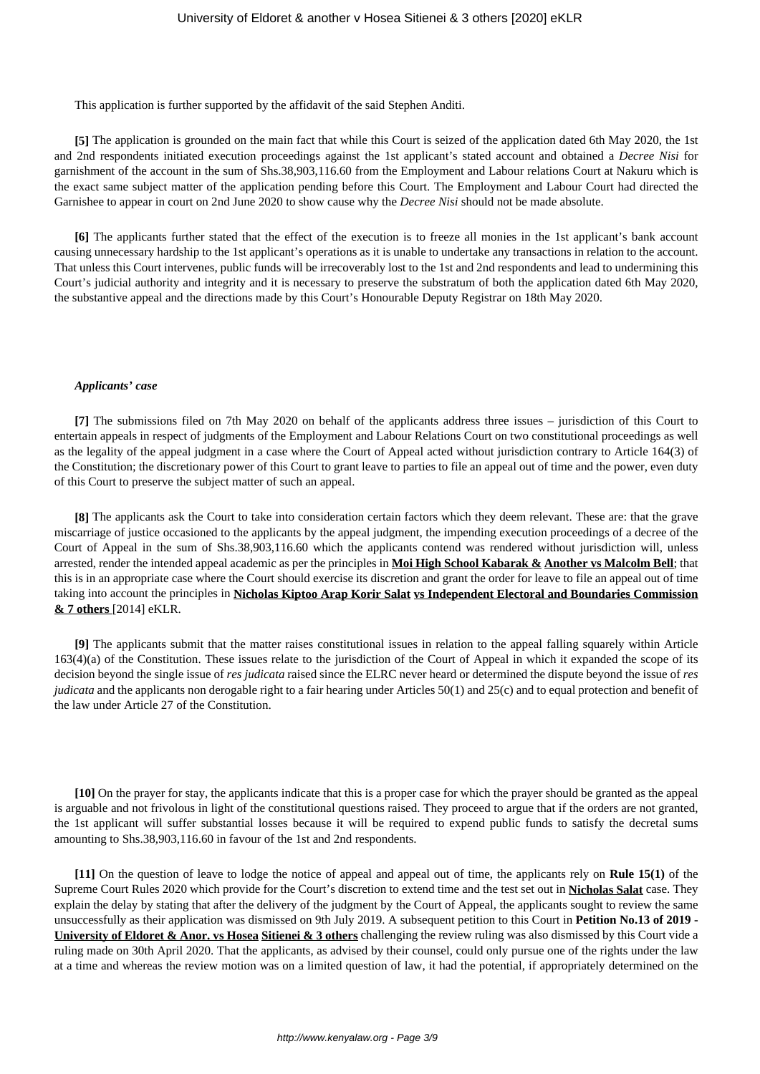This application is further supported by the affidavit of the said Stephen Anditi.

**[5]** The application is grounded on the main fact that while this Court is seized of the application dated 6th May 2020, the 1st and 2nd respondents initiated execution proceedings against the 1st applicant's stated account and obtained a *Decree Nisi* for garnishment of the account in the sum of Shs.38,903,116.60 from the Employment and Labour relations Court at Nakuru which is the exact same subject matter of the application pending before this Court. The Employment and Labour Court had directed the Garnishee to appear in court on 2nd June 2020 to show cause why the *Decree Nisi* should not be made absolute.

**[6]** The applicants further stated that the effect of the execution is to freeze all monies in the 1st applicant's bank account causing unnecessary hardship to the 1st applicant's operations as it is unable to undertake any transactions in relation to the account. That unless this Court intervenes, public funds will be irrecoverably lost to the 1st and 2nd respondents and lead to undermining this Court's judicial authority and integrity and it is necessary to preserve the substratum of both the application dated 6th May 2020, the substantive appeal and the directions made by this Court's Honourable Deputy Registrar on 18th May 2020.

#### *Applicants' case*

**[7]** The submissions filed on 7th May 2020 on behalf of the applicants address three issues – jurisdiction of this Court to entertain appeals in respect of judgments of the Employment and Labour Relations Court on two constitutional proceedings as well as the legality of the appeal judgment in a case where the Court of Appeal acted without jurisdiction contrary to Article 164(3) of the Constitution; the discretionary power of this Court to grant leave to parties to file an appeal out of time and the power, even duty of this Court to preserve the subject matter of such an appeal.

**[8]** The applicants ask the Court to take into consideration certain factors which they deem relevant. These are: that the grave miscarriage of justice occasioned to the applicants by the appeal judgment, the impending execution proceedings of a decree of the Court of Appeal in the sum of Shs.38,903,116.60 which the applicants contend was rendered without jurisdiction will, unless arrested, render the intended appeal academic as per the principles in **Moi High School Kabarak & Another vs Malcolm Bell**; that this is in an appropriate case where the Court should exercise its discretion and grant the order for leave to file an appeal out of time taking into account the principles in **Nicholas Kiptoo Arap Korir Salat vs Independent Electoral and Boundaries Commission & 7 others** [2014] eKLR.

**[9]** The applicants submit that the matter raises constitutional issues in relation to the appeal falling squarely within Article 163(4)(a) of the Constitution. These issues relate to the jurisdiction of the Court of Appeal in which it expanded the scope of its decision beyond the single issue of *res judicata* raised since the ELRC never heard or determined the dispute beyond the issue of *res judicata* and the applicants non derogable right to a fair hearing under Articles 50(1) and 25(c) and to equal protection and benefit of the law under Article 27 of the Constitution.

**[10]** On the prayer for stay, the applicants indicate that this is a proper case for which the prayer should be granted as the appeal is arguable and not frivolous in light of the constitutional questions raised. They proceed to argue that if the orders are not granted, the 1st applicant will suffer substantial losses because it will be required to expend public funds to satisfy the decretal sums amounting to Shs.38,903,116.60 in favour of the 1st and 2nd respondents.

**[11]** On the question of leave to lodge the notice of appeal and appeal out of time, the applicants rely on **Rule 15(1)** of the Supreme Court Rules 2020 which provide for the Court's discretion to extend time and the test set out in **Nicholas Salat** case. They explain the delay by stating that after the delivery of the judgment by the Court of Appeal, the applicants sought to review the same unsuccessfully as their application was dismissed on 9th July 2019. A subsequent petition to this Court in **Petition No.13 of 2019 - University of Eldoret & Anor. vs Hosea Sitienei & 3 others** challenging the review ruling was also dismissed by this Court vide a ruling made on 30th April 2020. That the applicants, as advised by their counsel, could only pursue one of the rights under the law at a time and whereas the review motion was on a limited question of law, it had the potential, if appropriately determined on the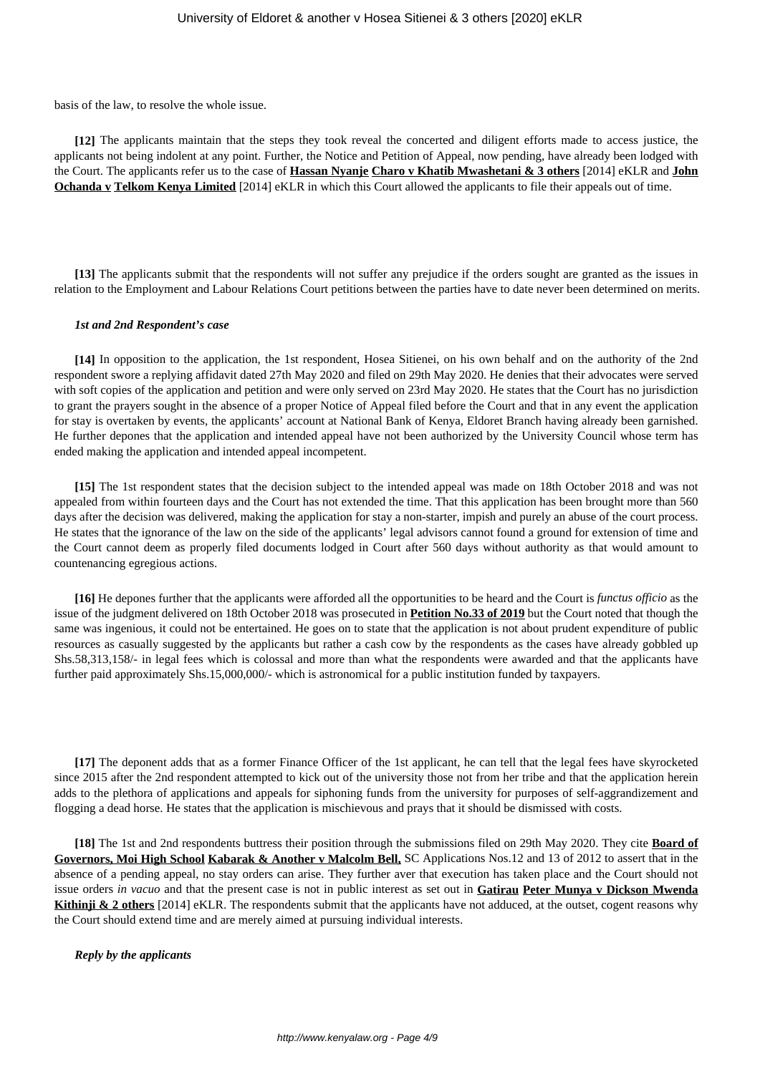basis of the law, to resolve the whole issue.

**[12]** The applicants maintain that the steps they took reveal the concerted and diligent efforts made to access justice, the applicants not being indolent at any point. Further, the Notice and Petition of Appeal, now pending, have already been lodged with the Court. The applicants refer us to the case of **Hassan Nyanje Charo v Khatib Mwashetani & 3 others** [2014] eKLR and **John Ochanda v Telkom Kenya Limited** [2014] eKLR in which this Court allowed the applicants to file their appeals out of time.

**[13]** The applicants submit that the respondents will not suffer any prejudice if the orders sought are granted as the issues in relation to the Employment and Labour Relations Court petitions between the parties have to date never been determined on merits.

#### *1st and 2nd Respondent's case*

**[14]** In opposition to the application, the 1st respondent, Hosea Sitienei, on his own behalf and on the authority of the 2nd respondent swore a replying affidavit dated 27th May 2020 and filed on 29th May 2020. He denies that their advocates were served with soft copies of the application and petition and were only served on 23rd May 2020. He states that the Court has no jurisdiction to grant the prayers sought in the absence of a proper Notice of Appeal filed before the Court and that in any event the application for stay is overtaken by events, the applicants' account at National Bank of Kenya, Eldoret Branch having already been garnished. He further depones that the application and intended appeal have not been authorized by the University Council whose term has ended making the application and intended appeal incompetent.

**[15]** The 1st respondent states that the decision subject to the intended appeal was made on 18th October 2018 and was not appealed from within fourteen days and the Court has not extended the time. That this application has been brought more than 560 days after the decision was delivered, making the application for stay a non-starter, impish and purely an abuse of the court process. He states that the ignorance of the law on the side of the applicants' legal advisors cannot found a ground for extension of time and the Court cannot deem as properly filed documents lodged in Court after 560 days without authority as that would amount to countenancing egregious actions.

**[16]** He depones further that the applicants were afforded all the opportunities to be heard and the Court is *functus officio* as the issue of the judgment delivered on 18th October 2018 was prosecuted in **Petition No.33 of 2019** but the Court noted that though the same was ingenious, it could not be entertained. He goes on to state that the application is not about prudent expenditure of public resources as casually suggested by the applicants but rather a cash cow by the respondents as the cases have already gobbled up Shs.58,313,158/- in legal fees which is colossal and more than what the respondents were awarded and that the applicants have further paid approximately Shs.15,000,000/- which is astronomical for a public institution funded by taxpayers.

**[17]** The deponent adds that as a former Finance Officer of the 1st applicant, he can tell that the legal fees have skyrocketed since 2015 after the 2nd respondent attempted to kick out of the university those not from her tribe and that the application herein adds to the plethora of applications and appeals for siphoning funds from the university for purposes of self-aggrandizement and flogging a dead horse. He states that the application is mischievous and prays that it should be dismissed with costs.

**[18]** The 1st and 2nd respondents buttress their position through the submissions filed on 29th May 2020. They cite **Board of Governors, Moi High School Kabarak & Another v Malcolm Bell,** SC Applications Nos.12 and 13 of 2012 to assert that in the absence of a pending appeal, no stay orders can arise. They further aver that execution has taken place and the Court should not issue orders *in vacuo* and that the present case is not in public interest as set out in **Gatirau Peter Munya v Dickson Mwenda Kithinji & 2 others** [2014] eKLR. The respondents submit that the applicants have not adduced, at the outset, cogent reasons why the Court should extend time and are merely aimed at pursuing individual interests.

*Reply by the applicants*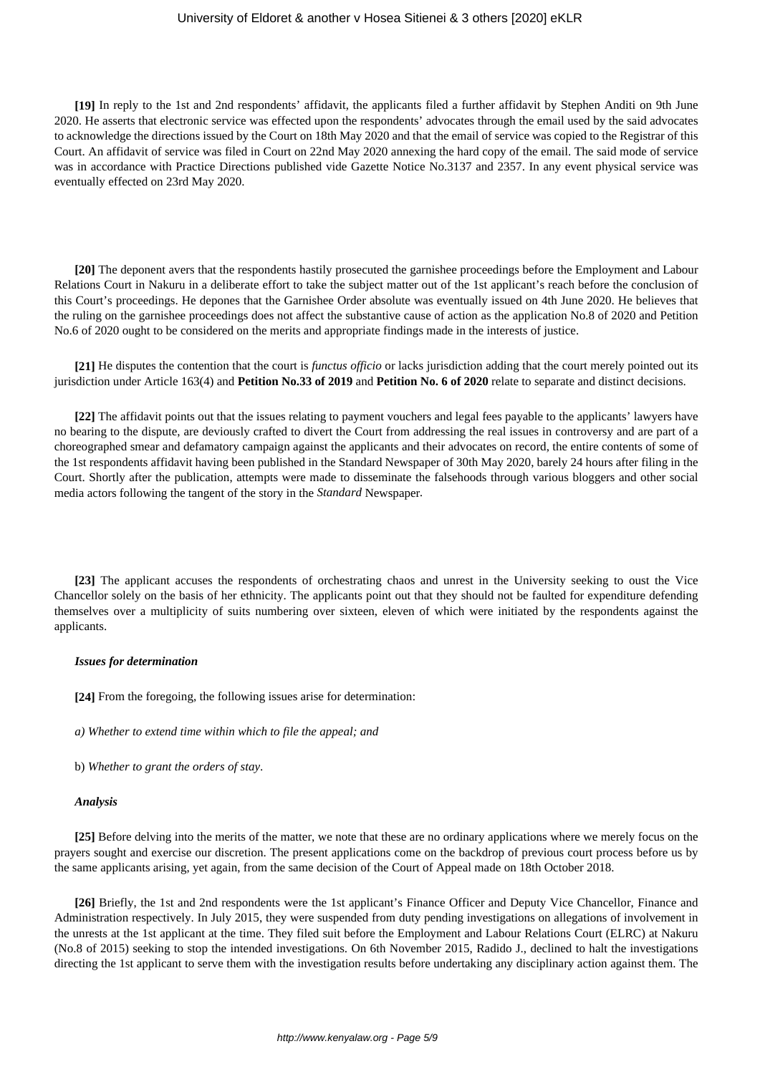**[19]** In reply to the 1st and 2nd respondents' affidavit, the applicants filed a further affidavit by Stephen Anditi on 9th June 2020. He asserts that electronic service was effected upon the respondents' advocates through the email used by the said advocates to acknowledge the directions issued by the Court on 18th May 2020 and that the email of service was copied to the Registrar of this Court. An affidavit of service was filed in Court on 22nd May 2020 annexing the hard copy of the email. The said mode of service was in accordance with Practice Directions published vide Gazette Notice No.3137 and 2357. In any event physical service was eventually effected on 23rd May 2020.

**[20]** The deponent avers that the respondents hastily prosecuted the garnishee proceedings before the Employment and Labour Relations Court in Nakuru in a deliberate effort to take the subject matter out of the 1st applicant's reach before the conclusion of this Court's proceedings. He depones that the Garnishee Order absolute was eventually issued on 4th June 2020. He believes that the ruling on the garnishee proceedings does not affect the substantive cause of action as the application No.8 of 2020 and Petition No.6 of 2020 ought to be considered on the merits and appropriate findings made in the interests of justice.

**[21]** He disputes the contention that the court is *functus officio* or lacks jurisdiction adding that the court merely pointed out its jurisdiction under Article 163(4) and **Petition No.33 of 2019** and **Petition No. 6 of 2020** relate to separate and distinct decisions.

**[22]** The affidavit points out that the issues relating to payment vouchers and legal fees payable to the applicants' lawyers have no bearing to the dispute, are deviously crafted to divert the Court from addressing the real issues in controversy and are part of a choreographed smear and defamatory campaign against the applicants and their advocates on record, the entire contents of some of the 1st respondents affidavit having been published in the Standard Newspaper of 30th May 2020, barely 24 hours after filing in the Court. Shortly after the publication, attempts were made to disseminate the falsehoods through various bloggers and other social media actors following the tangent of the story in the *Standard* Newspaper*.*

**[23]** The applicant accuses the respondents of orchestrating chaos and unrest in the University seeking to oust the Vice Chancellor solely on the basis of her ethnicity. The applicants point out that they should not be faulted for expenditure defending themselves over a multiplicity of suits numbering over sixteen, eleven of which were initiated by the respondents against the applicants.

#### *Issues for determination*

**[24]** From the foregoing, the following issues arise for determination:

*a) Whether to extend time within which to file the appeal; and*

b) *Whether to grant the orders of stay*.

#### *Analysis*

**[25]** Before delving into the merits of the matter, we note that these are no ordinary applications where we merely focus on the prayers sought and exercise our discretion. The present applications come on the backdrop of previous court process before us by the same applicants arising, yet again, from the same decision of the Court of Appeal made on 18th October 2018.

**[26]** Briefly, the 1st and 2nd respondents were the 1st applicant's Finance Officer and Deputy Vice Chancellor, Finance and Administration respectively. In July 2015, they were suspended from duty pending investigations on allegations of involvement in the unrests at the 1st applicant at the time. They filed suit before the Employment and Labour Relations Court (ELRC) at Nakuru (No.8 of 2015) seeking to stop the intended investigations. On 6th November 2015, Radido J., declined to halt the investigations directing the 1st applicant to serve them with the investigation results before undertaking any disciplinary action against them. The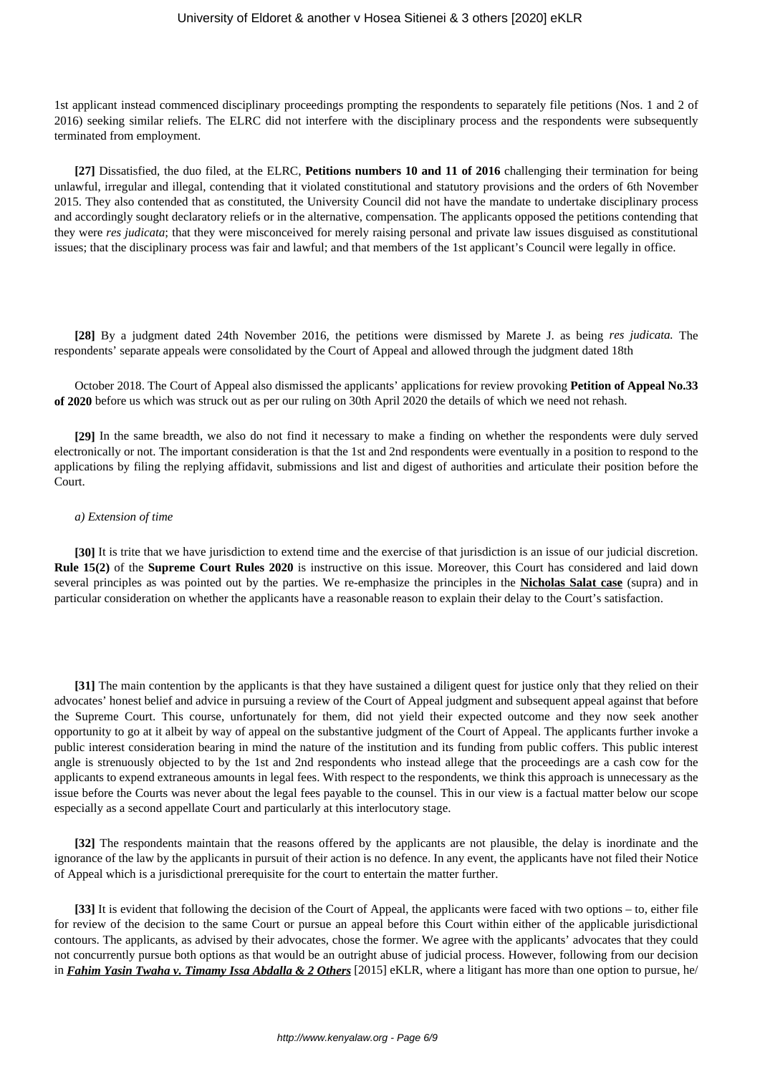1st applicant instead commenced disciplinary proceedings prompting the respondents to separately file petitions (Nos. 1 and 2 of 2016) seeking similar reliefs. The ELRC did not interfere with the disciplinary process and the respondents were subsequently terminated from employment.

**[27]** Dissatisfied, the duo filed, at the ELRC, **Petitions numbers 10 and 11 of 2016** challenging their termination for being unlawful, irregular and illegal, contending that it violated constitutional and statutory provisions and the orders of 6th November 2015. They also contended that as constituted, the University Council did not have the mandate to undertake disciplinary process and accordingly sought declaratory reliefs or in the alternative, compensation. The applicants opposed the petitions contending that they were *res judicata*; that they were misconceived for merely raising personal and private law issues disguised as constitutional issues; that the disciplinary process was fair and lawful; and that members of the 1st applicant's Council were legally in office.

**[28]** By a judgment dated 24th November 2016, the petitions were dismissed by Marete J. as being *res judicata.* The respondents' separate appeals were consolidated by the Court of Appeal and allowed through the judgment dated 18th

October 2018. The Court of Appeal also dismissed the applicants' applications for review provoking **Petition of Appeal No.33 of 2020** before us which was struck out as per our ruling on 30th April 2020 the details of which we need not rehash.

**[29]** In the same breadth, we also do not find it necessary to make a finding on whether the respondents were duly served electronically or not. The important consideration is that the 1st and 2nd respondents were eventually in a position to respond to the applications by filing the replying affidavit, submissions and list and digest of authorities and articulate their position before the Court.

#### *a) Extension of time*

**[30]** It is trite that we have jurisdiction to extend time and the exercise of that jurisdiction is an issue of our judicial discretion. **Rule 15(2)** of the **Supreme Court Rules 2020** is instructive on this issue. Moreover, this Court has considered and laid down several principles as was pointed out by the parties. We re-emphasize the principles in the **Nicholas Salat case** (supra) and in particular consideration on whether the applicants have a reasonable reason to explain their delay to the Court's satisfaction.

**[31]** The main contention by the applicants is that they have sustained a diligent quest for justice only that they relied on their advocates' honest belief and advice in pursuing a review of the Court of Appeal judgment and subsequent appeal against that before the Supreme Court. This course, unfortunately for them, did not yield their expected outcome and they now seek another opportunity to go at it albeit by way of appeal on the substantive judgment of the Court of Appeal. The applicants further invoke a public interest consideration bearing in mind the nature of the institution and its funding from public coffers. This public interest angle is strenuously objected to by the 1st and 2nd respondents who instead allege that the proceedings are a cash cow for the applicants to expend extraneous amounts in legal fees. With respect to the respondents, we think this approach is unnecessary as the issue before the Courts was never about the legal fees payable to the counsel. This in our view is a factual matter below our scope especially as a second appellate Court and particularly at this interlocutory stage.

**[32]** The respondents maintain that the reasons offered by the applicants are not plausible, the delay is inordinate and the ignorance of the law by the applicants in pursuit of their action is no defence. In any event, the applicants have not filed their Notice of Appeal which is a jurisdictional prerequisite for the court to entertain the matter further.

**[33]** It is evident that following the decision of the Court of Appeal, the applicants were faced with two options – to, either file for review of the decision to the same Court or pursue an appeal before this Court within either of the applicable jurisdictional contours. The applicants, as advised by their advocates, chose the former. We agree with the applicants' advocates that they could not concurrently pursue both options as that would be an outright abuse of judicial process. However, following from our decision in *Fahim Yasin Twaha v. Timamy Issa Abdalla & 2 Others* [2015] eKLR, where a litigant has more than one option to pursue, he/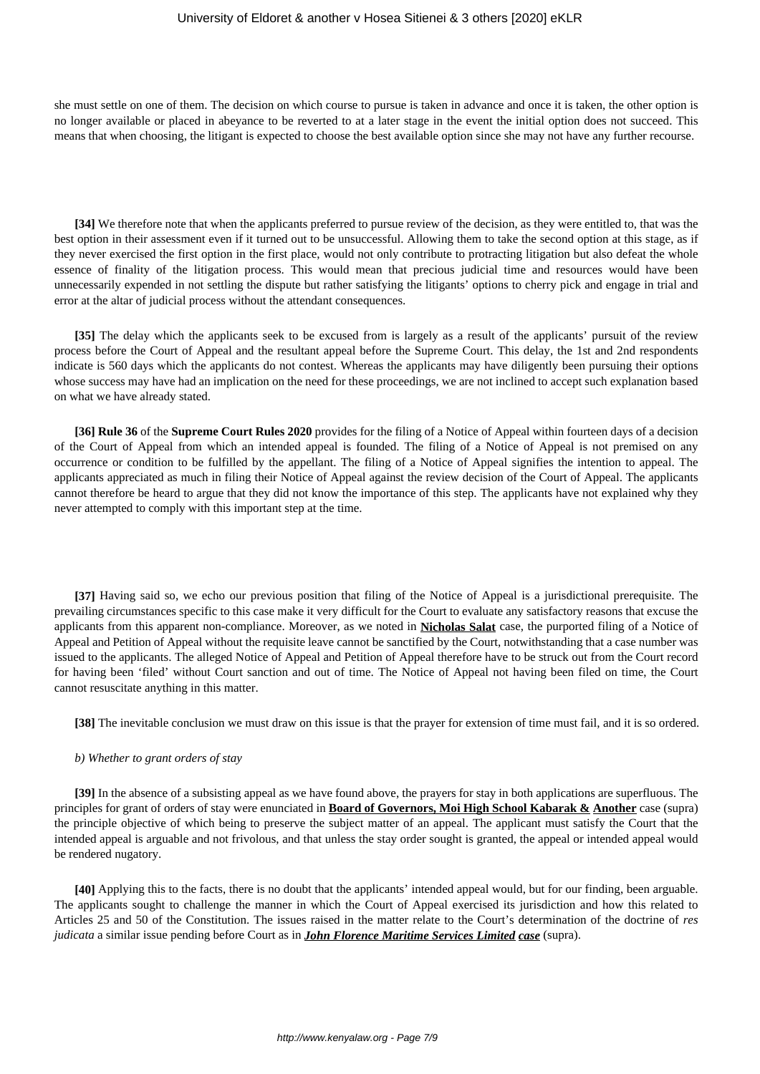she must settle on one of them. The decision on which course to pursue is taken in advance and once it is taken, the other option is no longer available or placed in abeyance to be reverted to at a later stage in the event the initial option does not succeed. This means that when choosing, the litigant is expected to choose the best available option since she may not have any further recourse.

**[34]** We therefore note that when the applicants preferred to pursue review of the decision, as they were entitled to, that was the best option in their assessment even if it turned out to be unsuccessful. Allowing them to take the second option at this stage, as if they never exercised the first option in the first place, would not only contribute to protracting litigation but also defeat the whole essence of finality of the litigation process. This would mean that precious judicial time and resources would have been unnecessarily expended in not settling the dispute but rather satisfying the litigants' options to cherry pick and engage in trial and error at the altar of judicial process without the attendant consequences.

**[35]** The delay which the applicants seek to be excused from is largely as a result of the applicants' pursuit of the review process before the Court of Appeal and the resultant appeal before the Supreme Court. This delay, the 1st and 2nd respondents indicate is 560 days which the applicants do not contest. Whereas the applicants may have diligently been pursuing their options whose success may have had an implication on the need for these proceedings, we are not inclined to accept such explanation based on what we have already stated.

**[36] Rule 36** of the **Supreme Court Rules 2020** provides for the filing of a Notice of Appeal within fourteen days of a decision of the Court of Appeal from which an intended appeal is founded. The filing of a Notice of Appeal is not premised on any occurrence or condition to be fulfilled by the appellant. The filing of a Notice of Appeal signifies the intention to appeal. The applicants appreciated as much in filing their Notice of Appeal against the review decision of the Court of Appeal. The applicants cannot therefore be heard to argue that they did not know the importance of this step. The applicants have not explained why they never attempted to comply with this important step at the time.

**[37]** Having said so, we echo our previous position that filing of the Notice of Appeal is a jurisdictional prerequisite. The prevailing circumstances specific to this case make it very difficult for the Court to evaluate any satisfactory reasons that excuse the applicants from this apparent non-compliance. Moreover, as we noted in **Nicholas Salat** case, the purported filing of a Notice of Appeal and Petition of Appeal without the requisite leave cannot be sanctified by the Court, notwithstanding that a case number was issued to the applicants. The alleged Notice of Appeal and Petition of Appeal therefore have to be struck out from the Court record for having been 'filed' without Court sanction and out of time. The Notice of Appeal not having been filed on time, the Court cannot resuscitate anything in this matter.

**[38]** The inevitable conclusion we must draw on this issue is that the prayer for extension of time must fail, and it is so ordered.

#### *b) Whether to grant orders of stay*

**[39]** In the absence of a subsisting appeal as we have found above, the prayers for stay in both applications are superfluous. The principles for grant of orders of stay were enunciated in **Board of Governors, Moi High School Kabarak & Another** case (supra) the principle objective of which being to preserve the subject matter of an appeal. The applicant must satisfy the Court that the intended appeal is arguable and not frivolous, and that unless the stay order sought is granted, the appeal or intended appeal would be rendered nugatory.

**[40]** Applying this to the facts, there is no doubt that the applicants' intended appeal would, but for our finding, been arguable. The applicants sought to challenge the manner in which the Court of Appeal exercised its jurisdiction and how this related to Articles 25 and 50 of the Constitution. The issues raised in the matter relate to the Court's determination of the doctrine of *res judicata* a similar issue pending before Court as in *John Florence Maritime Services Limited case* (supra).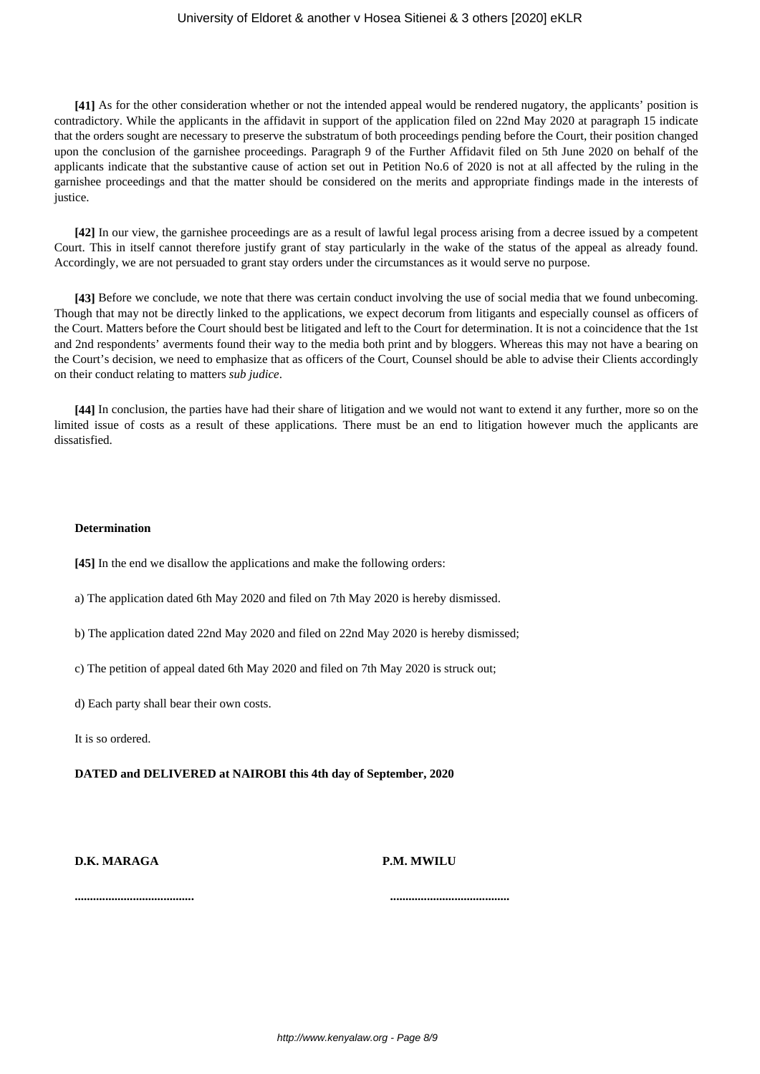**[41]** As for the other consideration whether or not the intended appeal would be rendered nugatory, the applicants' position is contradictory. While the applicants in the affidavit in support of the application filed on 22nd May 2020 at paragraph 15 indicate that the orders sought are necessary to preserve the substratum of both proceedings pending before the Court, their position changed upon the conclusion of the garnishee proceedings. Paragraph 9 of the Further Affidavit filed on 5th June 2020 on behalf of the applicants indicate that the substantive cause of action set out in Petition No.6 of 2020 is not at all affected by the ruling in the garnishee proceedings and that the matter should be considered on the merits and appropriate findings made in the interests of justice.

**[42]** In our view, the garnishee proceedings are as a result of lawful legal process arising from a decree issued by a competent Court. This in itself cannot therefore justify grant of stay particularly in the wake of the status of the appeal as already found. Accordingly, we are not persuaded to grant stay orders under the circumstances as it would serve no purpose.

**[43]** Before we conclude, we note that there was certain conduct involving the use of social media that we found unbecoming. Though that may not be directly linked to the applications, we expect decorum from litigants and especially counsel as officers of the Court. Matters before the Court should best be litigated and left to the Court for determination. It is not a coincidence that the 1st and 2nd respondents' averments found their way to the media both print and by bloggers. Whereas this may not have a bearing on the Court's decision, we need to emphasize that as officers of the Court, Counsel should be able to advise their Clients accordingly on their conduct relating to matters *sub judice*.

**[44]** In conclusion, the parties have had their share of litigation and we would not want to extend it any further, more so on the limited issue of costs as a result of these applications. There must be an end to litigation however much the applicants are dissatisfied.

#### **Determination**

**[45]** In the end we disallow the applications and make the following orders:

- a) The application dated 6th May 2020 and filed on 7th May 2020 is hereby dismissed.
- b) The application dated 22nd May 2020 and filed on 22nd May 2020 is hereby dismissed;
- c) The petition of appeal dated 6th May 2020 and filed on 7th May 2020 is struck out;
- d) Each party shall bear their own costs.
- It is so ordered.

#### **DATED and DELIVERED at NAIROBI this 4th day of September, 2020**

### **D.K. MARAGA P.M. MWILU**

**....................................... .......................................**